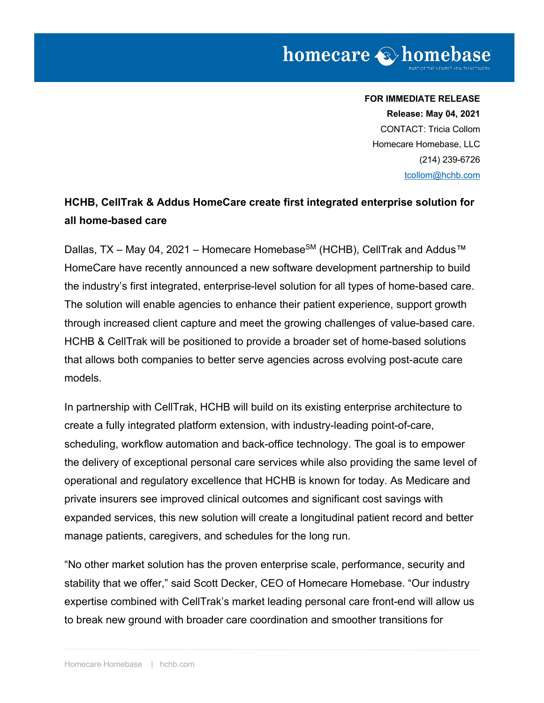# **FOR IMMEDIATE RELEASE Release: May 04, 2021** CONTACT: Tricia Collom Homecare Homebase, LLC (214) 239-6726 tcollom@hchb.com

# **HCHB, CellTrak & Addus HomeCare create first integrated enterprise solution for all home-based care**

Dallas, TX – May 04, 2021 – Homecare Homebase<sup>SM</sup> (HCHB), CellTrak and Addus™ HomeCare have recently announced a new software development partnership to build the industry's first integrated, enterprise-level solution for all types of home-based care. The solution will enable agencies to enhance their patient experience, support growth through increased client capture and meet the growing challenges of value-based care. HCHB & CellTrak will be positioned to provide a broader set of home-based solutions that allows both companies to better serve agencies across evolving post-acute care models.

In partnership with CellTrak, HCHB will build on its existing enterprise architecture to create a fully integrated platform extension, with industry-leading point-of-care, scheduling, workflow automation and back-office technology. The goal is to empower the delivery of exceptional personal care services while also providing the same level of operational and regulatory excellence that HCHB is known for today. As Medicare and private insurers see improved clinical outcomes and significant cost savings with expanded services, this new solution will create a longitudinal patient record and better manage patients, caregivers, and schedules for the long run.

"No other market solution has the proven enterprise scale, performance, security and stability that we offer," said Scott Decker, CEO of Homecare Homebase. "Our industry expertise combined with CellTrak's market leading personal care front-end will allow us to break new ground with broader care coordination and smoother transitions for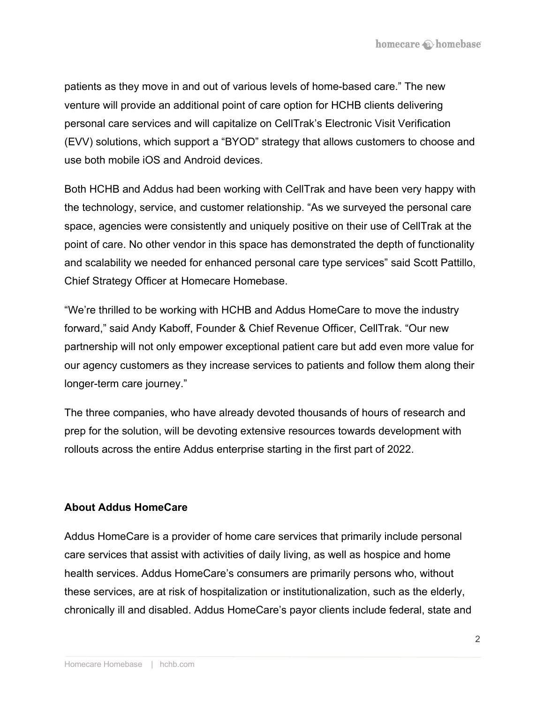patients as they move in and out of various levels of home-based care." The new venture will provide an additional point of care option for HCHB clients delivering personal care services and will capitalize on CellTrak's Electronic Visit Verification (EVV) solutions, which support a "BYOD" strategy that allows customers to choose and use both mobile iOS and Android devices.

Both HCHB and Addus had been working with CellTrak and have been very happy with the technology, service, and customer relationship. "As we surveyed the personal care space, agencies were consistently and uniquely positive on their use of CellTrak at the point of care. No other vendor in this space has demonstrated the depth of functionality and scalability we needed for enhanced personal care type services" said Scott Pattillo, Chief Strategy Officer at Homecare Homebase.

"We're thrilled to be working with HCHB and Addus HomeCare to move the industry forward," said Andy Kaboff, Founder & Chief Revenue Officer, CellTrak. "Our new partnership will not only empower exceptional patient care but add even more value for our agency customers as they increase services to patients and follow them along their longer-term care journey."

The three companies, who have already devoted thousands of hours of research and prep for the solution, will be devoting extensive resources towards development with rollouts across the entire Addus enterprise starting in the first part of 2022.

#### **About Addus HomeCare**

Addus HomeCare is a provider of home care services that primarily include personal care services that assist with activities of daily living, as well as hospice and home health services. Addus HomeCare's consumers are primarily persons who, without these services, are at risk of hospitalization or institutionalization, such as the elderly, chronically ill and disabled. Addus HomeCare's payor clients include federal, state and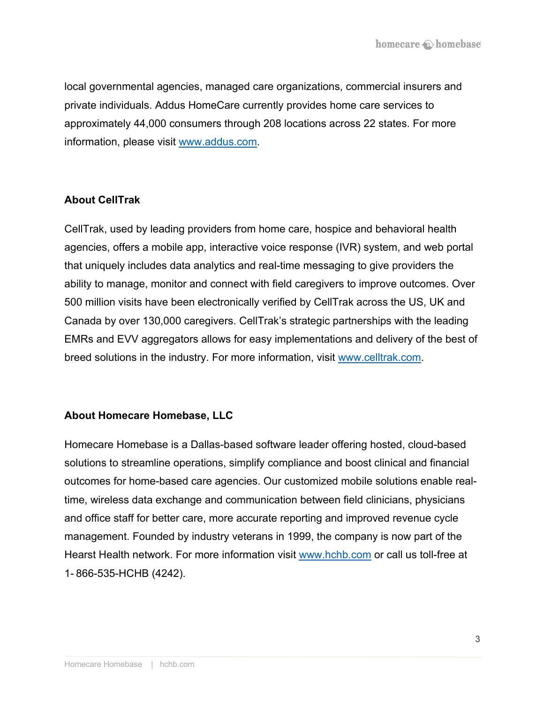local governmental agencies, managed care organizations, commercial insurers and private individuals. Addus HomeCare currently provides home care services to approximately 44,000 consumers through 208 locations across 22 states. For more information, please visit www.addus.com.

## **About CellTrak**

CellTrak, used by leading providers from home care, hospice and behavioral health agencies, offers a mobile app, interactive voice response (IVR) system, and web portal that uniquely includes data analytics and real-time messaging to give providers the ability to manage, monitor and connect with field caregivers to improve outcomes. Over 500 million visits have been electronically verified by CellTrak across the US, UK and Canada by over 130,000 caregivers. CellTrak's strategic partnerships with the leading EMRs and EVV aggregators allows for easy implementations and delivery of the best of breed solutions in the industry. For more information, visit www.celltrak.com.

#### **About Homecare Homebase, LLC**

Homecare Homebase is a Dallas-based software leader offering hosted, cloud-based solutions to streamline operations, simplify compliance and boost clinical and financial outcomes for home-based care agencies. Our customized mobile solutions enable realtime, wireless data exchange and communication between field clinicians, physicians and office staff for better care, more accurate reporting and improved revenue cycle management. Founded by industry veterans in 1999, the company is now part of the Hearst Health network. For more information visit www.hchb.com or call us toll-free at 1- 866-535-HCHB (4242).